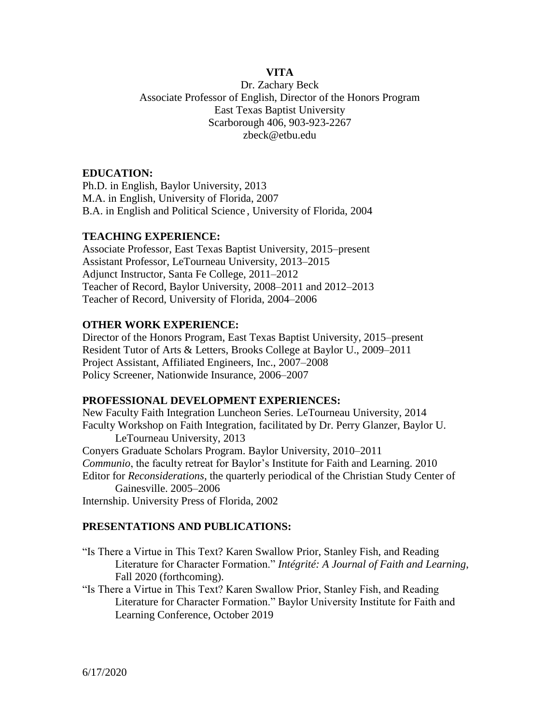## **VITA**

Dr. Zachary Beck Associate Professor of English, Director of the Honors Program East Texas Baptist University Scarborough 406, 903-923-2267 zbeck@etbu.edu

### **EDUCATION:**

Ph.D. in English, Baylor University, 2013 M.A. in English, University of Florida, 2007 B.A. in English and Political Science , University of Florida, 2004

#### **TEACHING EXPERIENCE:**

Associate Professor, East Texas Baptist University, 2015–present Assistant Professor, LeTourneau University, 2013–2015 Adjunct Instructor, Santa Fe College, 2011–2012 Teacher of Record, Baylor University, 2008–2011 and 2012–2013 Teacher of Record, University of Florida, 2004–2006

#### **OTHER WORK EXPERIENCE:**

Director of the Honors Program, East Texas Baptist University, 2015–present Resident Tutor of Arts & Letters, Brooks College at Baylor U., 2009–2011 Project Assistant, Affiliated Engineers, Inc., 2007–2008 Policy Screener, Nationwide Insurance, 2006–2007

#### **PROFESSIONAL DEVELOPMENT EXPERIENCES:**

New Faculty Faith Integration Luncheon Series. LeTourneau University, 2014 Faculty Workshop on Faith Integration, facilitated by Dr. Perry Glanzer, Baylor U. LeTourneau University, 2013 Conyers Graduate Scholars Program. Baylor University, 2010–2011 *Communio*, the faculty retreat for Baylor's Institute for Faith and Learning. 2010 Editor for *Reconsiderations*, the quarterly periodical of the Christian Study Center of Gainesville. 2005–2006 Internship. University Press of Florida, 2002

#### **PRESENTATIONS AND PUBLICATIONS:**

"Is There a Virtue in This Text? Karen Swallow Prior, Stanley Fish, and Reading Literature for Character Formation." *Intégrité: A Journal of Faith and Learning*, Fall 2020 (forthcoming).

"Is There a Virtue in This Text? Karen Swallow Prior, Stanley Fish, and Reading Literature for Character Formation." Baylor University Institute for Faith and Learning Conference, October 2019